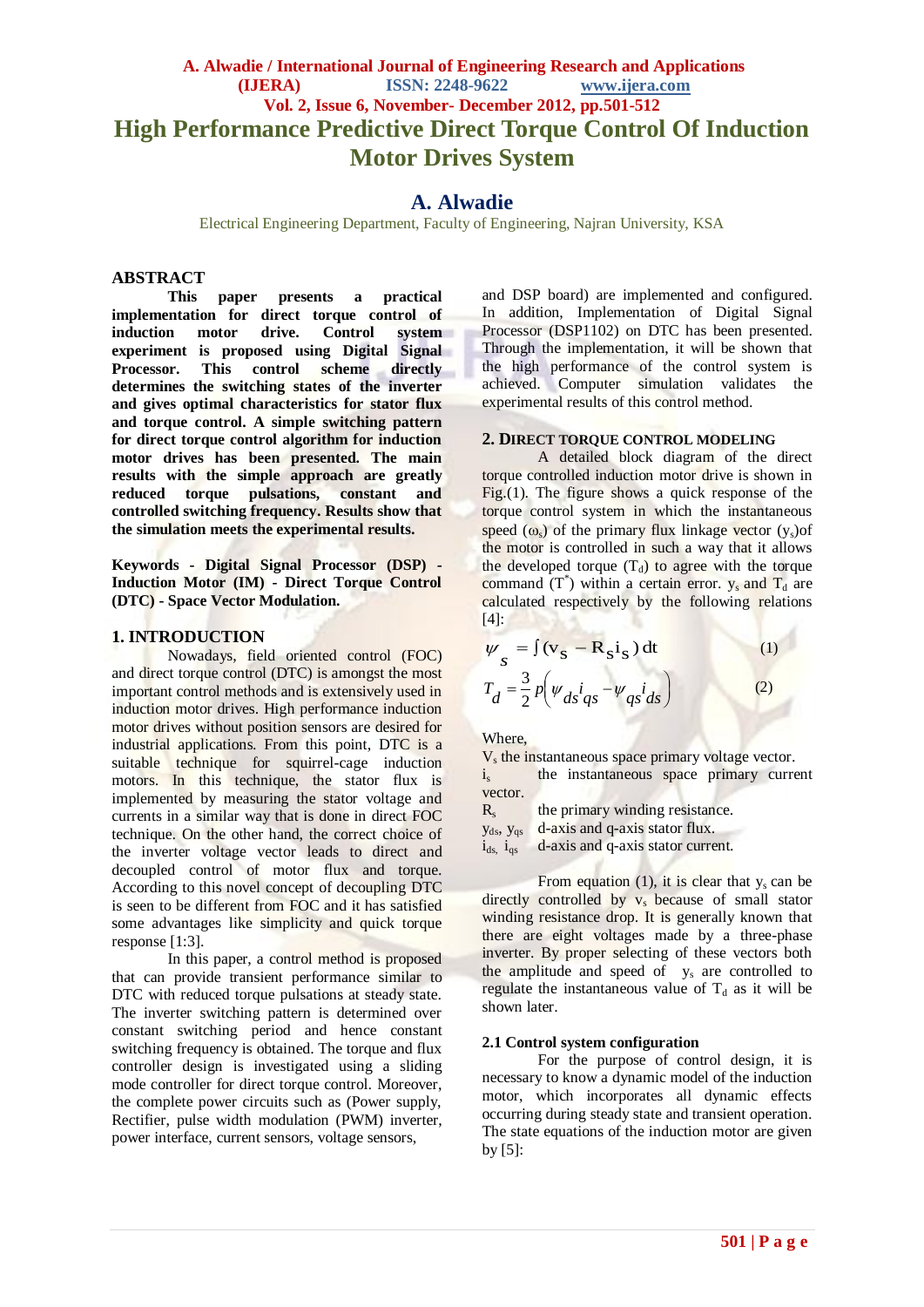# **A. Alwadie / International Journal of Engineering Research and Applications (IJERA) ISSN: 2248-9622 www.ijera.com Vol. 2, Issue 6, November- December 2012, pp.501-512 High Performance Predictive Direct Torque Control Of Induction Motor Drives System**

# **A. Alwadie**

Electrical Engineering Department, Faculty of Engineering, Najran University, KSA

#### **ABSTRACT**

**This paper presents a practical implementation for direct torque control of induction motor drive. Control system experiment is proposed using Digital Signal Processor.** This control scheme **determines the switching states of the inverter and gives optimal characteristics for stator flux and torque control. A simple switching pattern for direct torque control algorithm for induction motor drives has been presented. The main results with the simple approach are greatly reduced torque pulsations, constant and controlled switching frequency. Results show that the simulation meets the experimental results.**

**Keywords - Digital Signal Processor (DSP) - Induction Motor (IM) - Direct Torque Control (DTC) - Space Vector Modulation.**

#### **1. INTRODUCTION**

Nowadays, field oriented control (FOC) and direct torque control (DTC) is amongst the most important control methods and is extensively used in induction motor drives. High performance induction motor drives without position sensors are desired for industrial applications. From this point, DTC is a suitable technique for squirrel-cage induction motors. In this technique, the stator flux is implemented by measuring the stator voltage and currents in a similar way that is done in direct FOC technique. On the other hand, the correct choice of the inverter voltage vector leads to direct and decoupled control of motor flux and torque. According to this novel concept of decoupling DTC is seen to be different from FOC and it has satisfied some advantages like simplicity and quick torque response [1:3].

In this paper, a control method is proposed that can provide transient performance similar to DTC with reduced torque pulsations at steady state. The inverter switching pattern is determined over constant switching period and hence constant switching frequency is obtained. The torque and flux controller design is investigated using a sliding mode controller for direct torque control. Moreover, the complete power circuits such as (Power supply, Rectifier, pulse width modulation (PWM) inverter, power interface, current sensors, voltage sensors,

and DSP board) are implemented and configured. In addition, Implementation of Digital Signal Processor (DSP1102) on DTC has been presented. Through the implementation, it will be shown that the high performance of the control system is achieved. Computer simulation validates the experimental results of this control method.

#### **2. DIRECT TORQUE CONTROL MODELING**

A detailed block diagram of the direct torque controlled induction motor drive is shown in Fig.(1). The figure shows a quick response of the torque control system in which the instantaneous speed  $(\omega_s)$  of the primary flux linkage vector  $(y_s)$  of the motor is controlled in such a way that it allows the developed torque  $(T_d)$  to agree with the torque command  $(T^*)$  within a certain error.  $y_s$  and  $T_d$  are calculated respectively by the following relations  $[4]$ :

$$
\psi_{s} = \int (\mathbf{v}_{s} - \mathbf{R}_{s} \mathbf{i}_{s}) dt
$$
\n
$$
T_{d} = \frac{3}{2} p \Big( \psi_{ds} \mathbf{i}_{qs} - \psi_{qs} \mathbf{i}_{ds} \Big)
$$
\n(1)\n(2)

Where,

V<sub>s</sub> the instantaneous space primary voltage vector.  $i<sub>s</sub>$  the instantaneous space primary current vector.

 $R_{s}$ the primary winding resistance.

yds, yqs d-axis and q-axis stator flux.

 $i_{ds}$ ,  $i_{gs}$  d-axis and q-axis stator current.

From equation (1), it is clear that  $y_s$  can be directly controlled by  $v_s$  because of small stator winding resistance drop. It is generally known that there are eight voltages made by a three-phase inverter. By proper selecting of these vectors both the amplitude and speed of y<sub>s</sub> are controlled to regulate the instantaneous value of  $T_d$  as it will be shown later.

#### **2.1 Control system configuration**

For the purpose of control design, it is necessary to know a dynamic model of the induction motor, which incorporates all dynamic effects occurring during steady state and transient operation. The state equations of the induction motor are given by  $[5]$ :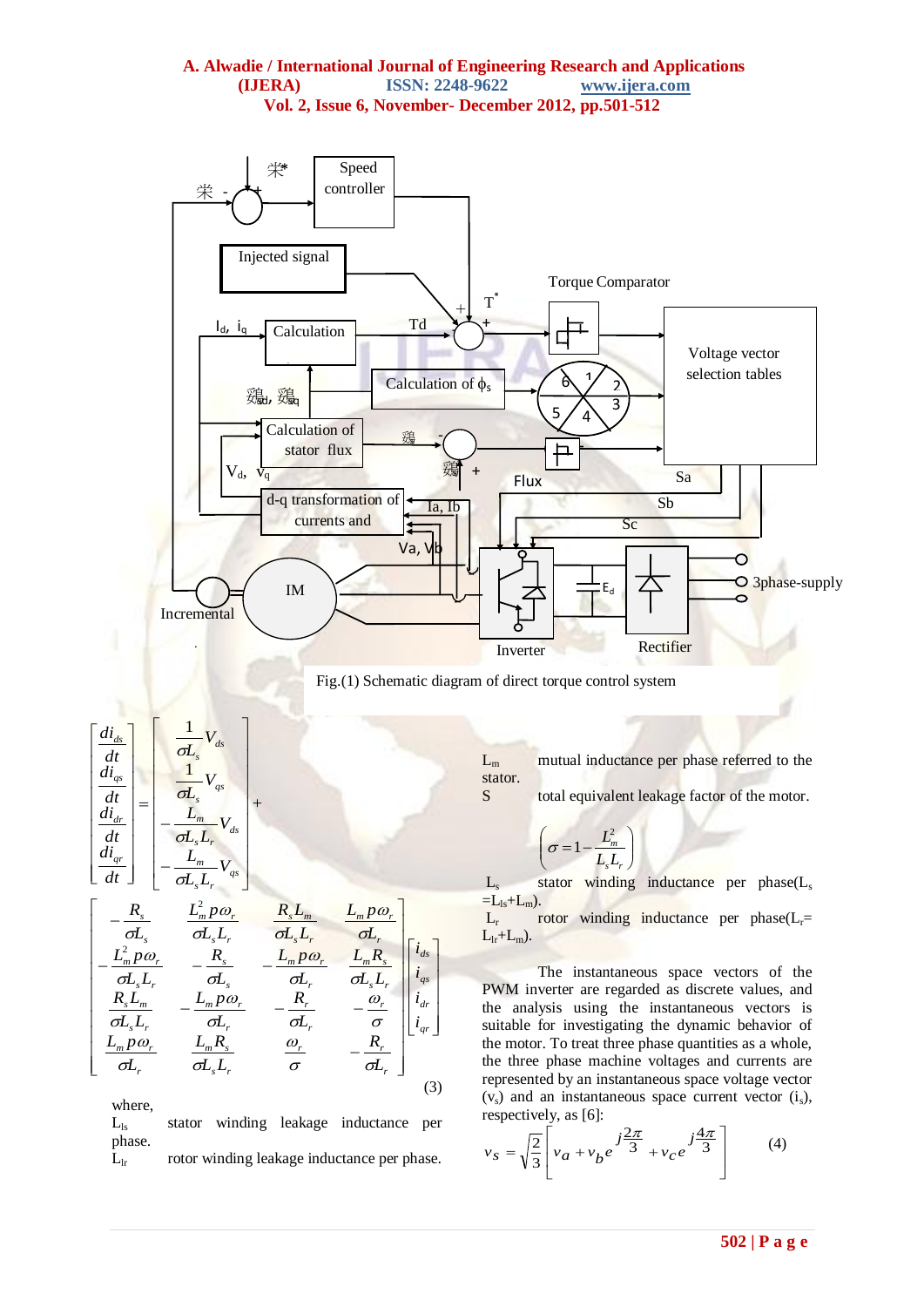

Fig.(1) Schematic diagram of direct torque control system

 $L_m$  mutual inductance per phase referred to the stator.

S total equivalent leakage factor of the motor.

$$
\left(\sigma = 1 - \frac{L_m^2}{L_s L_r}\right)
$$

 $L<sub>s</sub>$  stator winding inductance per phase( $L<sub>s</sub>$ )  $=L_{ls}+L_m$ ).

 $L_r$  rotor winding inductance per phase( $L_r$ =  $L_{lr}+L_{m}$ ).

The instantaneous space vectors of the PWM inverter are regarded as discrete values, and the analysis using the instantaneous vectors is suitable for investigating the dynamic behavior of the motor. To treat three phase quantities as a whole, the three phase machine voltages and currents are represented by an instantaneous space voltage vector  $(v<sub>s</sub>)$  and an instantaneous space current vector  $(i<sub>s</sub>)$ , respectively, as [6]:

$$
v_s = \sqrt{\frac{2}{3}} \left[ v_a + v_b e^{-j\frac{2\pi}{3}} + v_c e^{-j\frac{4\pi}{3}} \right]
$$
 (4)

$$
\begin{bmatrix}\n\frac{di_{ds}}{dt} \\
\frac{di_{qs}}{dt} \\
\frac{di_{dr}}{dt} \\
\frac{di_{dr}}{dt} \\
\frac{di_{qr}}{dt}\n\end{bmatrix} = \begin{bmatrix}\n\frac{1}{\sigma L_s} V_{ds} \\
\frac{1}{\sigma L_s} V_{qs} \\
-\frac{L_m}{\sigma L_s L_r} V_{ds} \\
-\frac{L_m}{\sigma L_s L_r} V_{qs}\n\end{bmatrix} +
$$

 $s$   $L_r$ 

$$
\begin{bmatrix}\n-\frac{R_s}{\sigma L_s} & \frac{L_m^2 p \omega_r}{\sigma L_s L_r} & \frac{R_s L_m}{\sigma L_s L_r} & \frac{L_m p \omega_r}{\sigma L_r} \\
-\frac{L_m^2 p \omega_r}{\sigma L_s L_r} & -\frac{R_s}{\sigma L_s} & -\frac{L_m p \omega_r}{\sigma L_r} & \frac{L_m R_s}{\sigma L_s L_r} \\
\frac{R_s L_m}{\sigma L_s L_r} & -\frac{L_m p \omega_r}{\sigma L_r} & -\frac{R_r}{\sigma L_r} & -\frac{\omega_r}{\sigma} \\
\frac{L_m p \omega_r}{\sigma L_r} & \frac{L_m R_s}{\sigma L_s L_r} & \frac{\omega_r}{\sigma} & -\frac{R_r}{\sigma L_r}\n\end{bmatrix}\n\begin{bmatrix}\ni_{ds} \\
i_{qs} \\
i_{dr} \\
i_{dr}\n\end{bmatrix}
$$
\n(3)

where,

L<sub>ls</sub> stator winding leakage inductance per phase.  $L<sub>lr</sub>$  rotor winding leakage inductance per phase.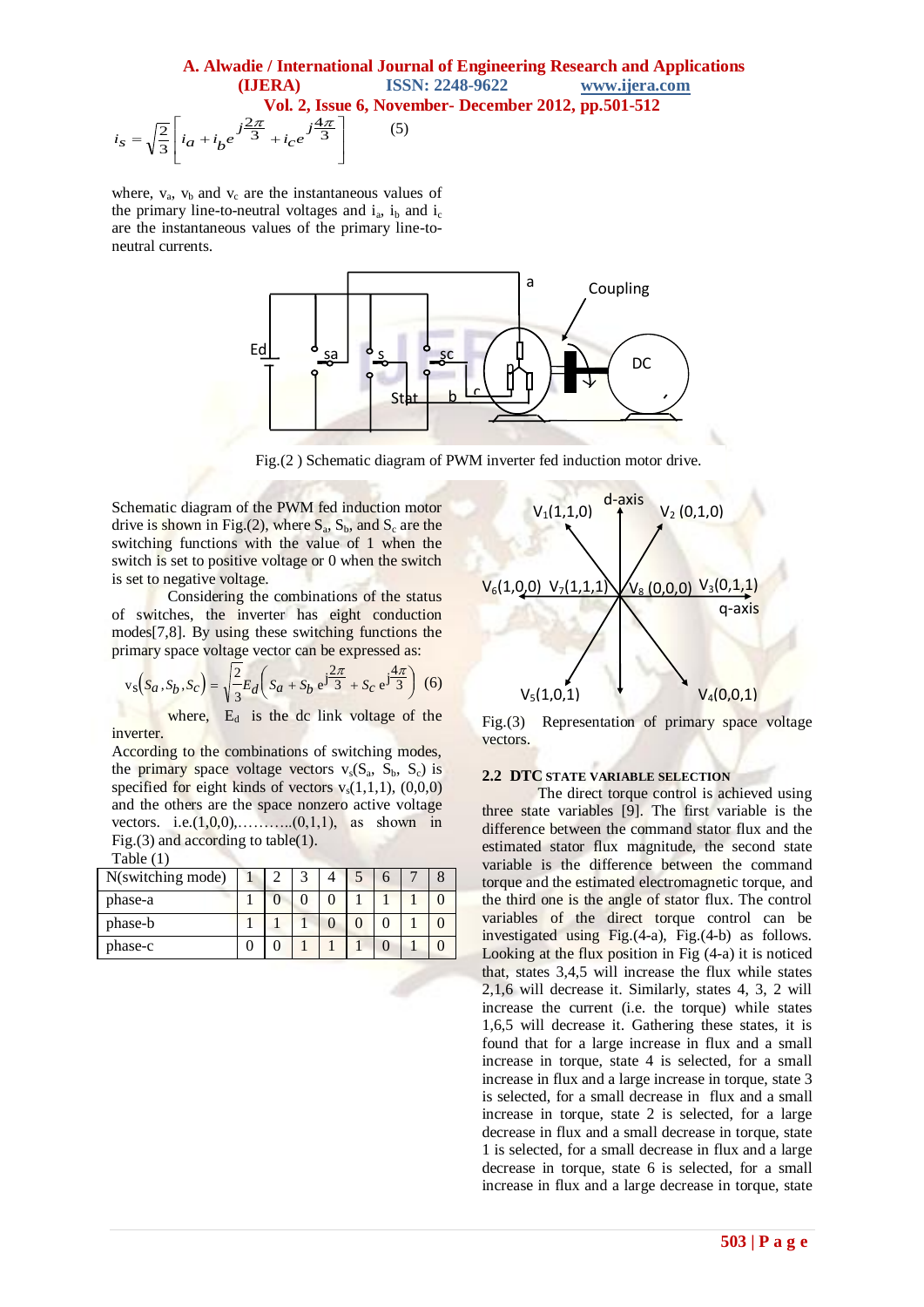$$
i_S = \sqrt{\frac{2}{3}} \left[ i_a + i_b e^{j\frac{2\pi}{3}} + i_c e^{j\frac{4\pi}{3}} \right]
$$

where,  $v_a$ ,  $v_b$  and  $v_c$  are the instantaneous values of the primary line-to-neutral voltages and  $i_a$ ,  $i_b$  and  $i_c$ are the instantaneous values of the primary line-toneutral currents.



Fig.(2 ) Schematic diagram of PWM inverter fed induction motor drive.

Schematic diagram of the PWM fed induction motor drive is shown in Fig.(2), where  $S_a$ ,  $S_b$ , and  $S_c$  are the switching functions with the value of 1 when the switch is set to positive voltage or 0 when the switch is set to negative voltage.

Considering the combinations of the status of switches, the inverter has eight conduction modes[7,8]. By using these switching functions the primary space voltage vector can be expressed as:

$$
v_s\left(s_a, S_b, S_c\right) = \sqrt{\frac{2}{3}} E_d \left(s_a + S_b e^{j\frac{2\pi}{3}} + S_c e^{j\frac{4\pi}{3}}\right)
$$
 (6)

where, E<sub>d</sub> is the dc link voltage of the inverter.

According to the combinations of switching modes, the primary space voltage vectors  $v_s(S_a, S_b, S_c)$  is specified for eight kinds of vectors  $v_s(1,1,1)$ ,  $(0,0,0)$ and the others are the space nonzero active voltage vectors. i.e. $(1,0,0)$ , ... (0,1,1), as shown in Fig.(3) and according to table(1).

| Table (1 |  |
|----------|--|
|          |  |

| N(switching mode) |  |  |  |  |
|-------------------|--|--|--|--|
| phase-a           |  |  |  |  |
| phase-b           |  |  |  |  |
| phase-c           |  |  |  |  |



Fig.(3) Representation of primary space voltage vectors.

#### **2.2 DTC STATE VARIABLE SELECTION**

The direct torque control is achieved using three state variables [9]. The first variable is the difference between the command stator flux and the estimated stator flux magnitude, the second state variable is the difference between the command torque and the estimated electromagnetic torque, and the third one is the angle of stator flux. The control variables of the direct torque control can be investigated using Fig.(4-a), Fig.(4-b) as follows. Looking at the flux position in Fig (4-a) it is noticed that, states 3,4,5 will increase the flux while states 2,1,6 will decrease it. Similarly, states 4, 3, 2 will increase the current (i.e. the torque) while states 1,6,5 will decrease it. Gathering these states, it is found that for a large increase in flux and a small increase in torque, state 4 is selected, for a small increase in flux and a large increase in torque, state 3 is selected, for a small decrease in flux and a small increase in torque, state 2 is selected, for a large decrease in flux and a small decrease in torque, state 1 is selected, for a small decrease in flux and a large decrease in torque, state 6 is selected, for a small increase in flux and a large decrease in torque, state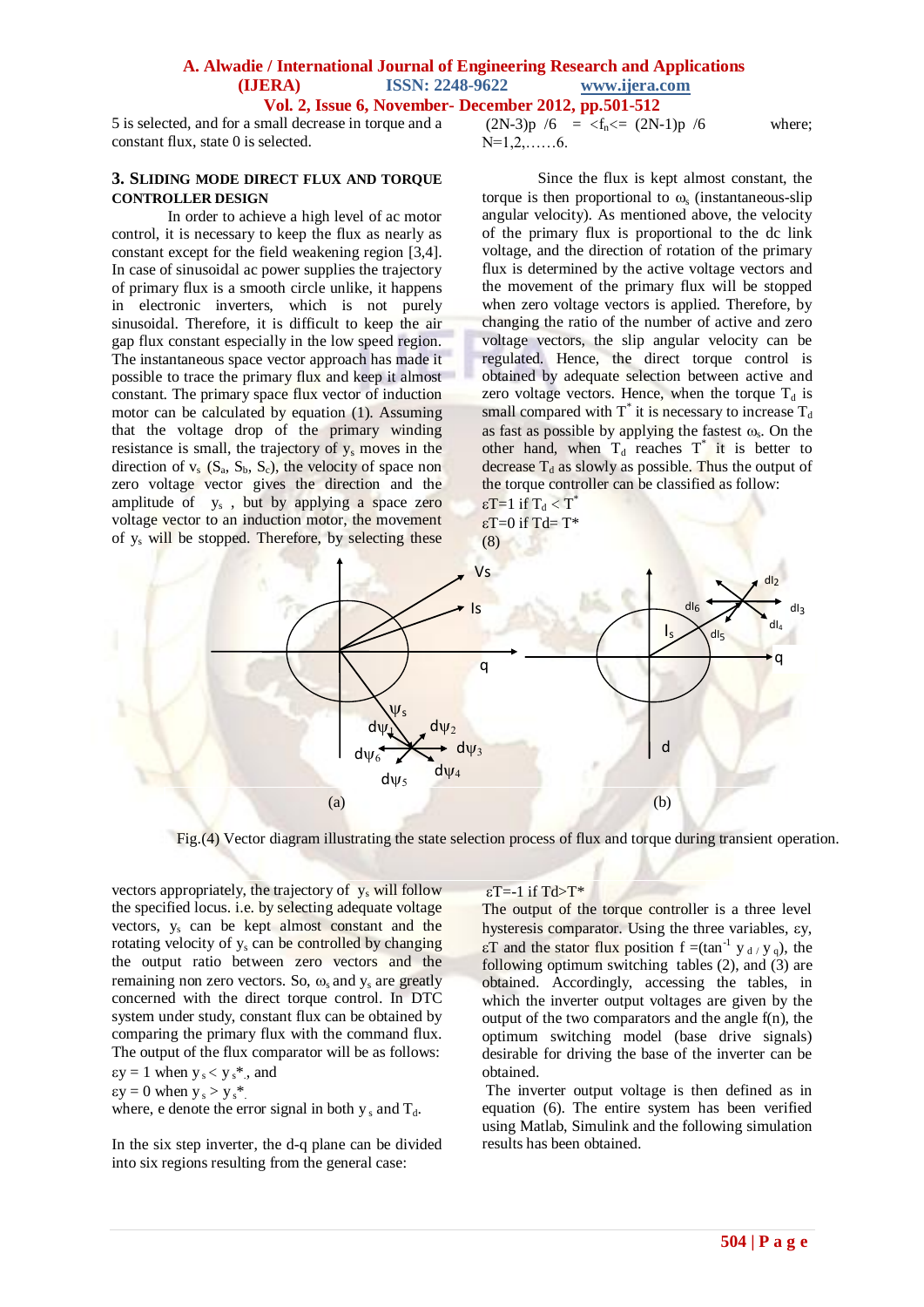5 is selected, and for a small decrease in torque and a constant flux, state 0 is selected.

#### **3. SLIDING MODE DIRECT FLUX AND TORQUE CONTROLLER DESIGN**

In order to achieve a high level of ac motor control, it is necessary to keep the flux as nearly as constant except for the field weakening region [3,4]. In case of sinusoidal ac power supplies the trajectory of primary flux is a smooth circle unlike, it happens in electronic inverters, which is not purely sinusoidal. Therefore, it is difficult to keep the air gap flux constant especially in the low speed region. The instantaneous space vector approach has made it possible to trace the primary flux and keep it almost constant. The primary space flux vector of induction motor can be calculated by equation (1). Assuming that the voltage drop of the primary winding resistance is small, the trajectory of  $y_s$  moves in the direction of  $v_s$  ( $S_a$ ,  $S_b$ ,  $S_c$ ), the velocity of space non zero voltage vector gives the direction and the amplitude of y<sub>s</sub>, but by applying a space zero voltage vector to an induction motor, the movement of y<sup>s</sup> will be stopped. Therefore, by selecting these

 $(2N-3)p / 6 = \frac{f_n}{\epsilon} (2N-1)p / 6$  where;  $N=1,2,\ldots,6$ .

Since the flux is kept almost constant, the torque is then proportional to  $\omega$  (instantaneous-slip angular velocity). As mentioned above, the velocity of the primary flux is proportional to the dc link voltage, and the direction of rotation of the primary flux is determined by the active voltage vectors and the movement of the primary flux will be stopped when zero voltage vectors is applied. Therefore, by changing the ratio of the number of active and zero voltage vectors, the slip angular velocity can be regulated. Hence, the direct torque control is obtained by adequate selection between active and zero voltage vectors. Hence, when the torque  $T_d$  is small compared with  $T^*$  it is necessary to increase  $T_d$ as fast as possible by applying the fastest  $\omega_s$ . On the other hand, when  $T_d$  reaches  $T^*$  it is better to decrease  $T_d$  as slowly as possible. Thus the output of the torque controller can be classified as follow:

 $\epsilon T = 1$  if  $T_d < T^*$  $\epsilon T=0$  if Td= T\* (8)



Fig.(4) Vector diagram illustrating the state selection process of flux and torque during transient operation.

vectors appropriately, the trajectory of  $y_s$  will follow the specified locus. i.e. by selecting adequate voltage vectors, y<sup>s</sup> can be kept almost constant and the rotating velocity of y<sup>s</sup> can be controlled by changing the output ratio between zero vectors and the remaining non zero vectors. So,  $\omega$  and  $v_s$  are greatly concerned with the direct torque control. In DTC system under study, constant flux can be obtained by comparing the primary flux with the command flux. The output of the flux comparator will be as follows:

 $\epsilon y = 1$  when  $y_s < y_s^*$ , and

 $\epsilon y = 0$  when  $y_s > y_s^*$ .

where, e denote the error signal in both  $y_s$  and  $T_d$ .

In the six step inverter, the d-q plane can be divided into six regions resulting from the general case:

## $\epsilon T = -1$  if  $T d > T^*$

The output of the torque controller is a three level hysteresis comparator. Using the three variables,  $\epsilon y$ ,  $\epsilon T$  and the stator flux position  $f = (\tan^{-1} y_d / y_q)$ , the following optimum switching tables  $(2)$ , and  $(3)$  are obtained. Accordingly, accessing the tables, in which the inverter output voltages are given by the output of the two comparators and the angle f(n), the optimum switching model (base drive signals) desirable for driving the base of the inverter can be obtained.

The inverter output voltage is then defined as in equation (6). The entire system has been verified using Matlab, Simulink and the following simulation results has been obtained.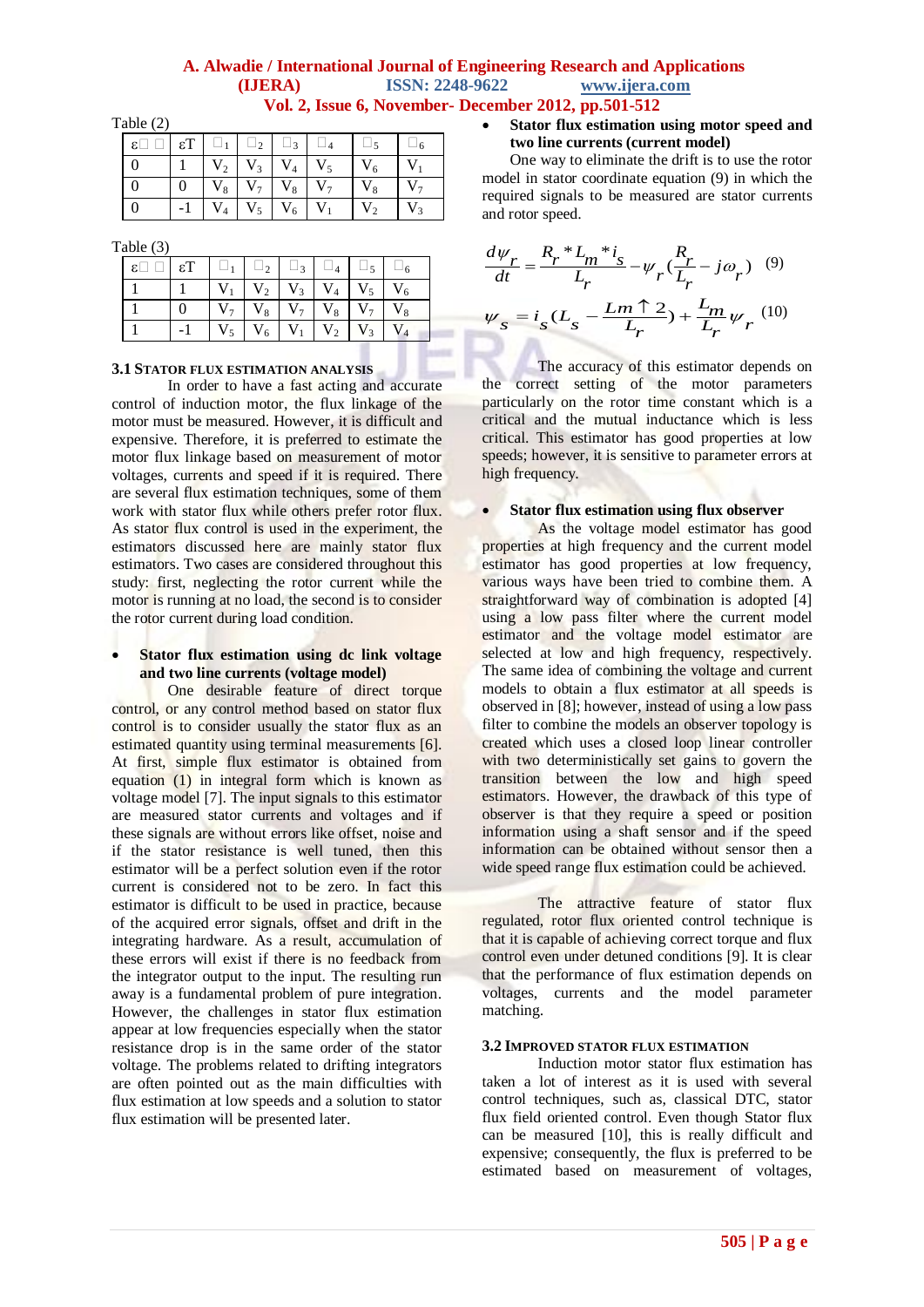Table (2)

| $\epsilon \Box \Box \epsilon T \Box \Box$ |  |                                      |  |                |                |
|-------------------------------------------|--|--------------------------------------|--|----------------|----------------|
|                                           |  | $V_2$ $V_3$ $V_4$ $V_5$              |  | $V_6$          |                |
|                                           |  | $V_8$ $V_7$ $V_8$ $V_7$              |  | $\mathrm{V}_8$ |                |
|                                           |  | $-1$   $V_4$   $V_5$   $V_6$   $V_1$ |  | V <sub>2</sub> | V <sub>2</sub> |

Table (3)

|  |             | $ V_1 V_2 V_3 V_4 V_5 V_6$ |                   |  |  |
|--|-------------|----------------------------|-------------------|--|--|
|  | $V_{\tau}$  |                            | $V_8$ $V_7$ $V_8$ |  |  |
|  | $V_{\rm s}$ | $V_6$                      |                   |  |  |

#### **3.1 STATOR FLUX ESTIMATION ANALYSIS**

In order to have a fast acting and accurate control of induction motor, the flux linkage of the motor must be measured. However, it is difficult and expensive. Therefore, it is preferred to estimate the motor flux linkage based on measurement of motor voltages, currents and speed if it is required. There are several flux estimation techniques, some of them work with stator flux while others prefer rotor flux. As stator flux control is used in the experiment, the estimators discussed here are mainly stator flux estimators. Two cases are considered throughout this study: first, neglecting the rotor current while the motor is running at no load, the second is to consider the rotor current during load condition.

## **Stator flux estimation using dc link voltage and two line currents (voltage model)**

One desirable feature of direct torque control, or any control method based on stator flux control is to consider usually the stator flux as an estimated quantity using terminal measurements [6]. At first, simple flux estimator is obtained from equation (1) in integral form which is known as voltage model [7]. The input signals to this estimator are measured stator currents and voltages and if these signals are without errors like offset, noise and if the stator resistance is well tuned, then this estimator will be a perfect solution even if the rotor current is considered not to be zero. In fact this estimator is difficult to be used in practice, because of the acquired error signals, offset and drift in the integrating hardware. As a result, accumulation of these errors will exist if there is no feedback from the integrator output to the input. The resulting run away is a fundamental problem of pure integration. However, the challenges in stator flux estimation appear at low frequencies especially when the stator resistance drop is in the same order of the stator voltage. The problems related to drifting integrators are often pointed out as the main difficulties with flux estimation at low speeds and a solution to stator flux estimation will be presented later.

#### **Stator flux estimation using motor speed and two line currents (current model)**

One way to eliminate the drift is to use the rotor model in stator coordinate equation (9) in which the required signals to be measured are stator currents and rotor speed.

$$
\frac{d\psi_r}{dt} = \frac{R_r * L_m * i_s}{L_r} - \psi_r (\frac{R_r}{L_r} - j\omega_r) \quad (9)
$$
  

$$
\psi_s = i_s (L_s - \frac{Lm \uparrow 2}{L_r}) + \frac{L_m}{L_r} \psi_r \quad (10)
$$

The accuracy of this estimator depends on the correct setting of the motor parameters particularly on the rotor time constant which is a critical and the mutual inductance which is less critical. This estimator has good properties at low speeds; however, it is sensitive to parameter errors at high frequency.

# **Stator flux estimation using flux observer**

As the voltage model estimator has good properties at high frequency and the current model estimator has good properties at low frequency, various ways have been tried to combine them. A straightforward way of combination is adopted [4] using a low pass filter where the current model estimator and the voltage model estimator are selected at low and high frequency, respectively. The same idea of combining the voltage and current models to obtain a flux estimator at all speeds is observed in [8]; however, instead of using a low pass filter to combine the models an observer topology is created which uses a closed loop linear controller with two deterministically set gains to govern the transition between the low and high speed estimators. However, the drawback of this type of observer is that they require a speed or position information using a shaft sensor and if the speed information can be obtained without sensor then a wide speed range flux estimation could be achieved.

The attractive feature of stator flux regulated, rotor flux oriented control technique is that it is capable of achieving correct torque and flux control even under detuned conditions [9]. It is clear that the performance of flux estimation depends on voltages, currents and the model parameter matching.

#### **3.2 IMPROVED STATOR FLUX ESTIMATION**

Induction motor stator flux estimation has taken a lot of interest as it is used with several control techniques, such as, classical DTC, stator flux field oriented control. Even though Stator flux can be measured [10], this is really difficult and expensive; consequently, the flux is preferred to be estimated based on measurement of voltages,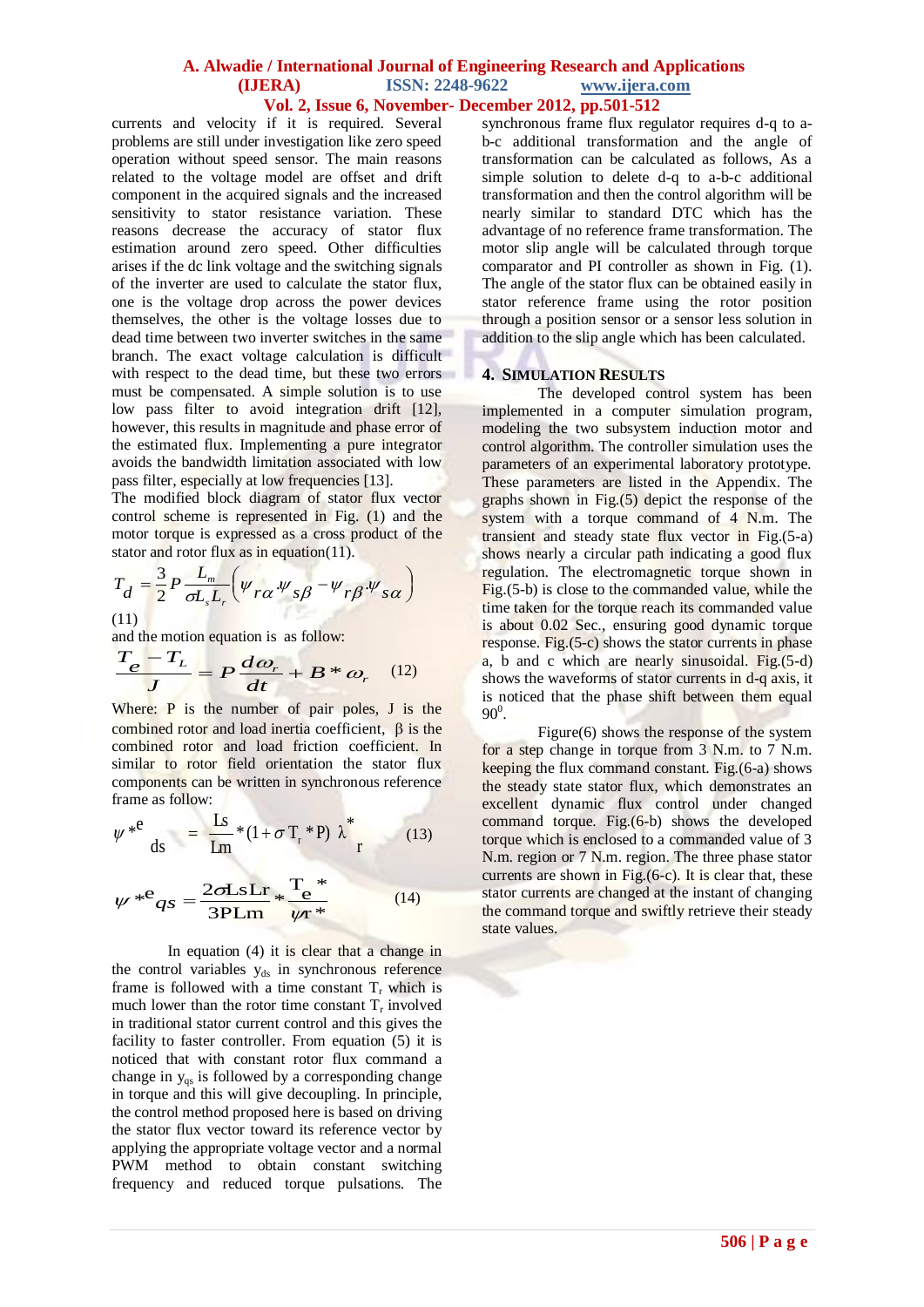currents and velocity if it is required. Several problems are still under investigation like zero speed operation without speed sensor. The main reasons related to the voltage model are offset and drift component in the acquired signals and the increased sensitivity to stator resistance variation. These reasons decrease the accuracy of stator flux estimation around zero speed. Other difficulties arises if the dc link voltage and the switching signals of the inverter are used to calculate the stator flux, one is the voltage drop across the power devices themselves, the other is the voltage losses due to dead time between two inverter switches in the same branch. The exact voltage calculation is difficult with respect to the dead time, but these two errors must be compensated. A simple solution is to use low pass filter to avoid integration drift [12], however, this results in magnitude and phase error of the estimated flux. Implementing a pure integrator avoids the bandwidth limitation associated with low pass filter, especially at low frequencies [13].

The modified block diagram of stator flux vector control scheme is represented in Fig. (1) and the motor torque is expressed as a cross product of the stator and rotor flux as in equation(11).

$$
T_d = \frac{3}{2} P \frac{L_m}{\sigma L_s L_r} \left( \psi_{r\alpha} \psi_{s\beta} - \psi_{r\beta} \psi_{s\alpha} \right)
$$
  
(11)

and the motion equation is as follow:  
\n
$$
\frac{T_e - T_L}{J} = P \frac{d\omega_r}{dt} + B * \omega_r
$$
\n(12)

Where: P is the number of pair poles, J is the combined rotor and load inertia coefficient,  $\beta$  is the combined rotor and load friction coefficient. In similar to rotor field orientation the stator flux components can be written in synchronous reference frame as follow:

$$
\psi^{*e} \Big|_{ds} = \frac{Ls}{Lm} * (1 + \sigma T_r * P) \lambda^* \Big|_{r}
$$
 (13)

$$
\psi^{*}e_{qs} = \frac{2\sigma Ls Lr}{3PLm} * \frac{T^*}{\psi r^*}
$$
 (14)

In equation  $(4)$  it is clear that a change in the control variables  $y_{ds}$  in synchronous reference frame is followed with a time constant  $T_r$  which is much lower than the rotor time constant  $T_r$  involved in traditional stator current control and this gives the facility to faster controller. From equation (5) it is noticed that with constant rotor flux command a change in  $y_{\text{qs}}$  is followed by a corresponding change in torque and this will give decoupling. In principle, the control method proposed here is based on driving the stator flux vector toward its reference vector by applying the appropriate voltage vector and a normal PWM method to obtain constant switching frequency and reduced torque pulsations. The

synchronous frame flux regulator requires d-q to ab-c additional transformation and the angle of transformation can be calculated as follows, As a simple solution to delete d-q to a-b-c additional transformation and then the control algorithm will be nearly similar to standard DTC which has the advantage of no reference frame transformation. The motor slip angle will be calculated through torque comparator and PI controller as shown in Fig. (1). The angle of the stator flux can be obtained easily in stator reference frame using the rotor position through a position sensor or a sensor less solution in addition to the slip angle which has been calculated.

#### **4. SIMULATION RESULTS**

The developed control system has been implemented in a computer simulation program, modeling the two subsystem induction motor and control algorithm. The controller simulation uses the parameters of an experimental laboratory prototype. These parameters are listed in the Appendix. The graphs shown in Fig.(5) depict the response of the system with a torque command of 4 N.m. The transient and steady state flux vector in Fig.(5-a) shows nearly a circular path indicating a good flux regulation. The electromagnetic torque shown in Fig.(5-b) is close to the commanded value, while the time taken for the torque reach its commanded value is about 0.02 Sec., ensuring good dynamic torque response. Fig.(5-c) shows the stator currents in phase a, b and c which are nearly sinusoidal. Fig.(5-d) shows the waveforms of stator currents in d-q axis, it is noticed that the phase shift between them equal  $90^0$ .

Figure(6) shows the response of the system for a step change in torque from 3 N.m. to 7 N.m. keeping the flux command constant. Fig.(6-a) shows the steady state stator flux, which demonstrates an excellent dynamic flux control under changed command torque. Fig.(6-b) shows the developed torque which is enclosed to a commanded value of 3 N.m. region or 7 N.m. region. The three phase stator currents are shown in Fig.(6-c). It is clear that, these stator currents are changed at the instant of changing the command torque and swiftly retrieve their steady state values.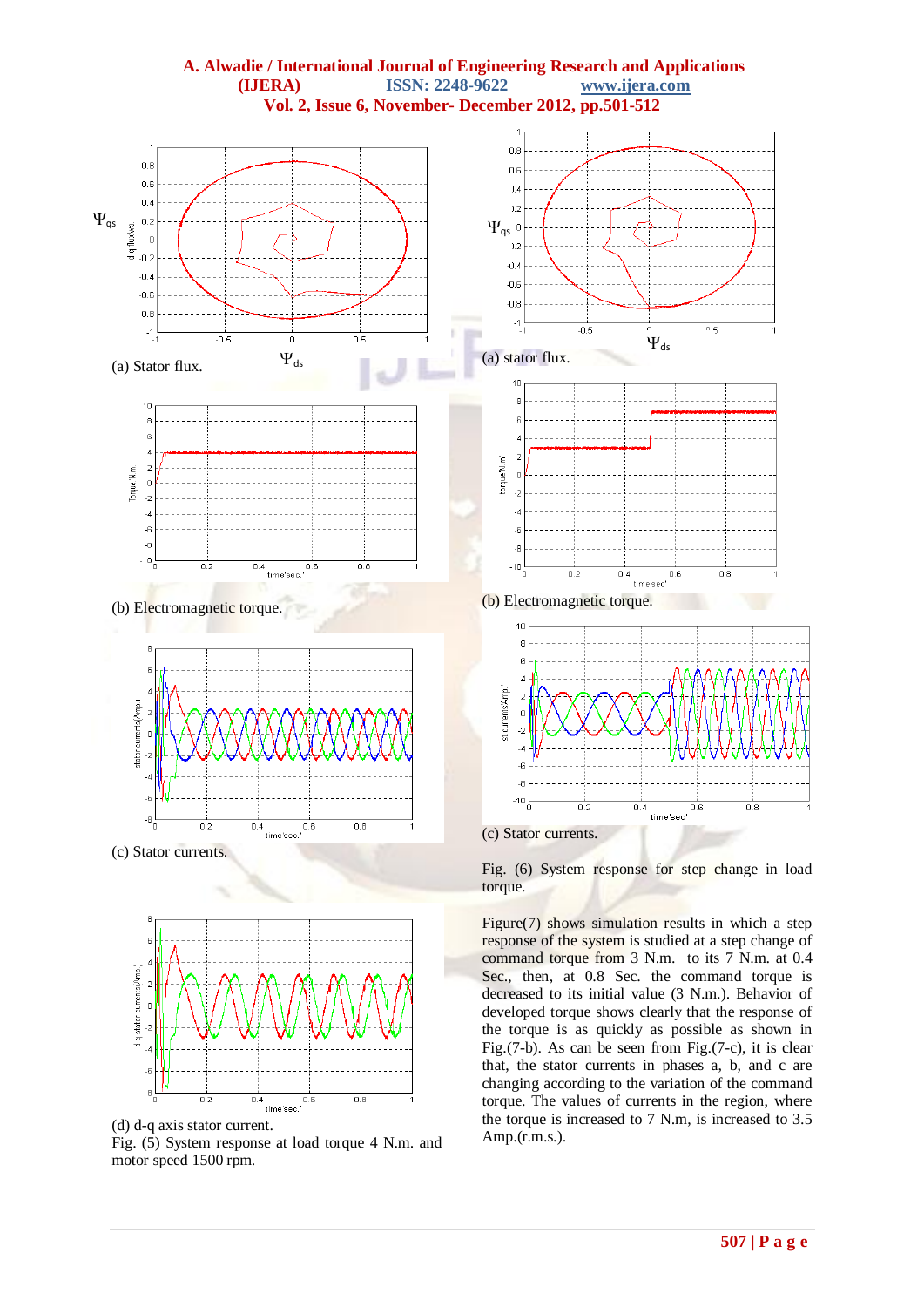

Fig. (5) System response at load torque 4 N.m. and motor speed 1500 rpm.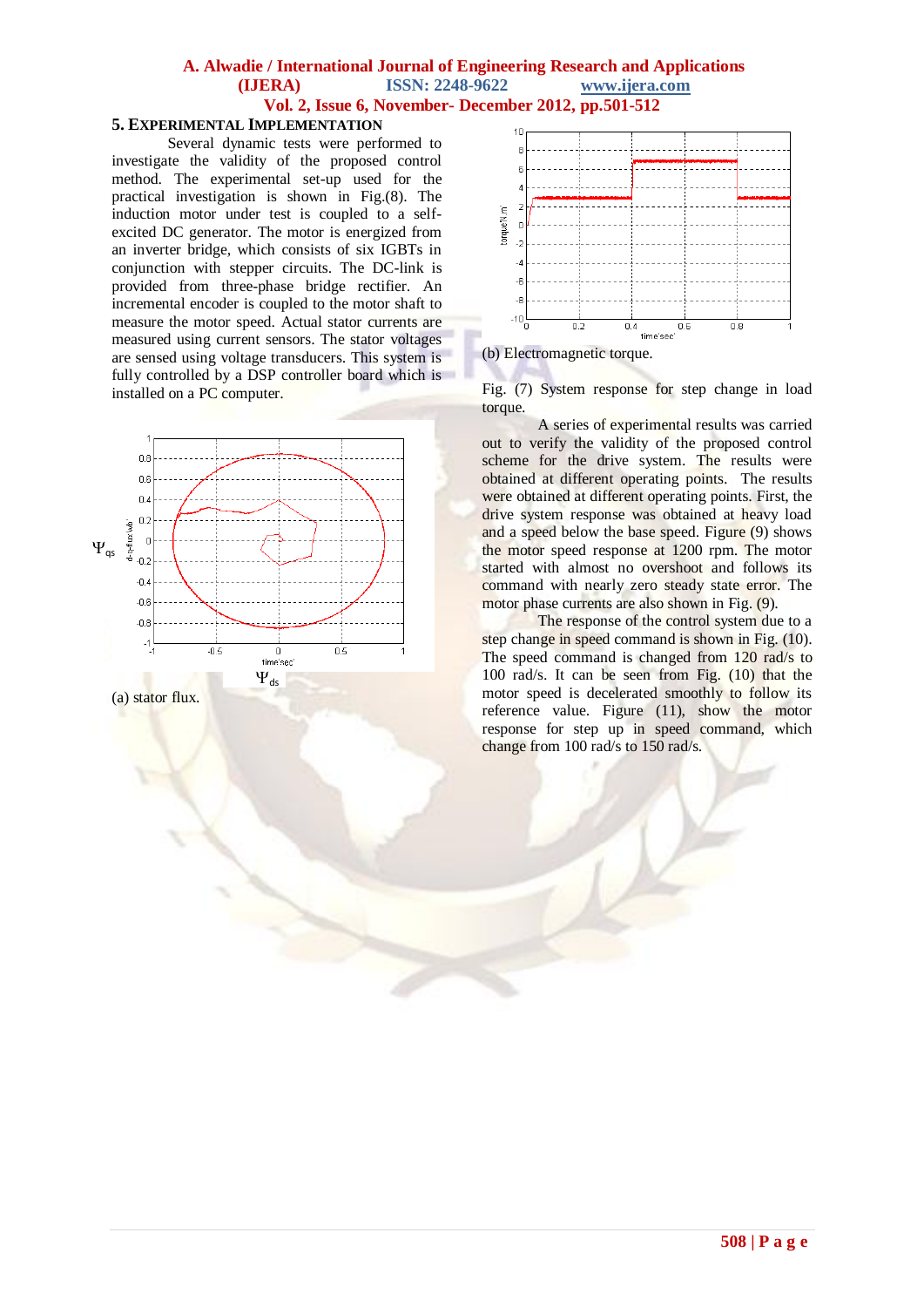#### **5. EXPERIMENTAL IMPLEMENTATION**

Several dynamic tests were performed to investigate the validity of the proposed control method. The experimental set-up used for the practical investigation is shown in Fig.(8). The induction motor under test is coupled to a selfexcited DC generator. The motor is energized from an inverter bridge, which consists of six IGBTs in conjunction with stepper circuits. The DC-link is provided from three-phase bridge rectifier. An incremental encoder is coupled to the motor shaft to measure the motor speed. Actual stator currents are measured using current sensors. The stator voltages are sensed using voltage transducers. This system is fully controlled by a DSP controller board which is installed on a PC computer.





(b) Electromagnetic torque.

Fig. (7) System response for step change in load torque.

A series of experimental results was carried out to verify the validity of the proposed control scheme for the drive system. The results were obtained at different operating points. The results were obtained at different operating points. First, the drive system response was obtained at heavy load and a speed below the base speed. Figure (9) shows the motor speed response at 1200 rpm. The motor started with almost no overshoot and follows its command with nearly zero steady state error. The motor phase currents are also shown in Fig. (9).

The response of the control system due to a step change in speed command is shown in Fig. (10). The speed command is changed from 120 rad/s to 100 rad/s. It can be seen from Fig. (10) that the motor speed is decelerated smoothly to follow its reference value. Figure (11), show the motor response for step up in speed command, which change from 100 rad/s to 150 rad/s.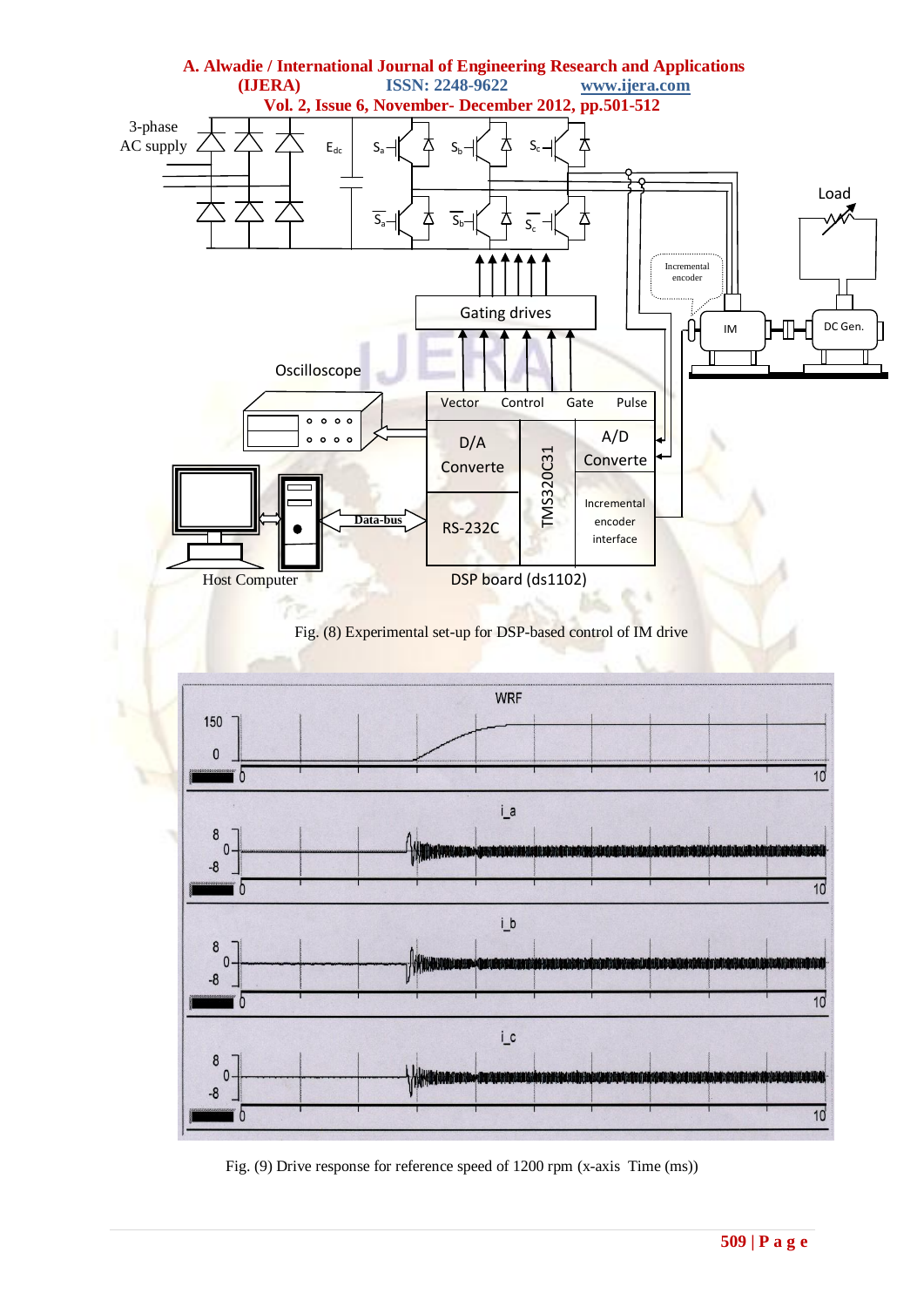

# Fig. (8) Experimental set-up for DSP-based control of IM drive



Fig. (9) Drive response for reference speed of 1200 rpm (x-axis Time (ms))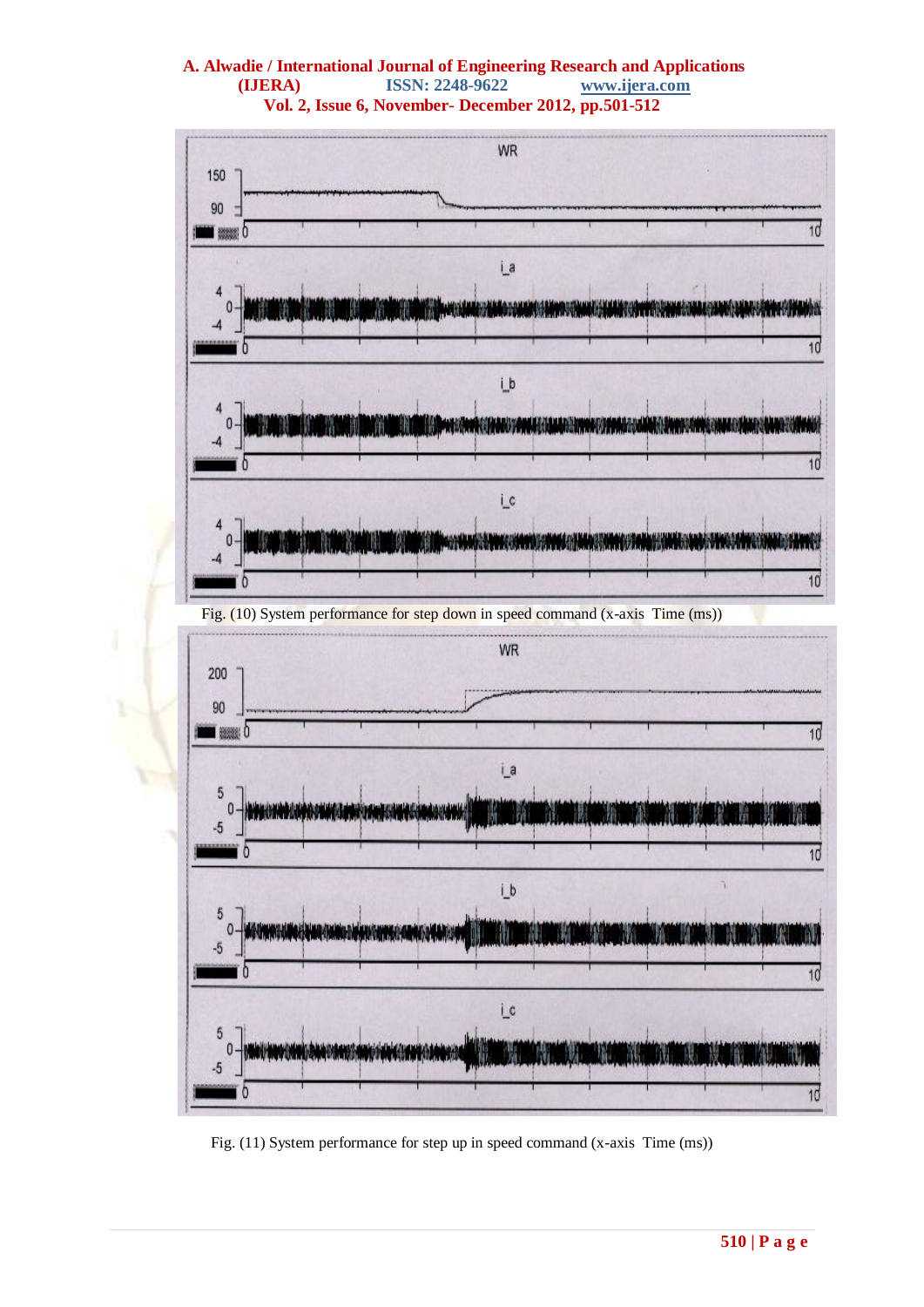

Fig. (11) System performance for step up in speed command (x-axis Time (ms))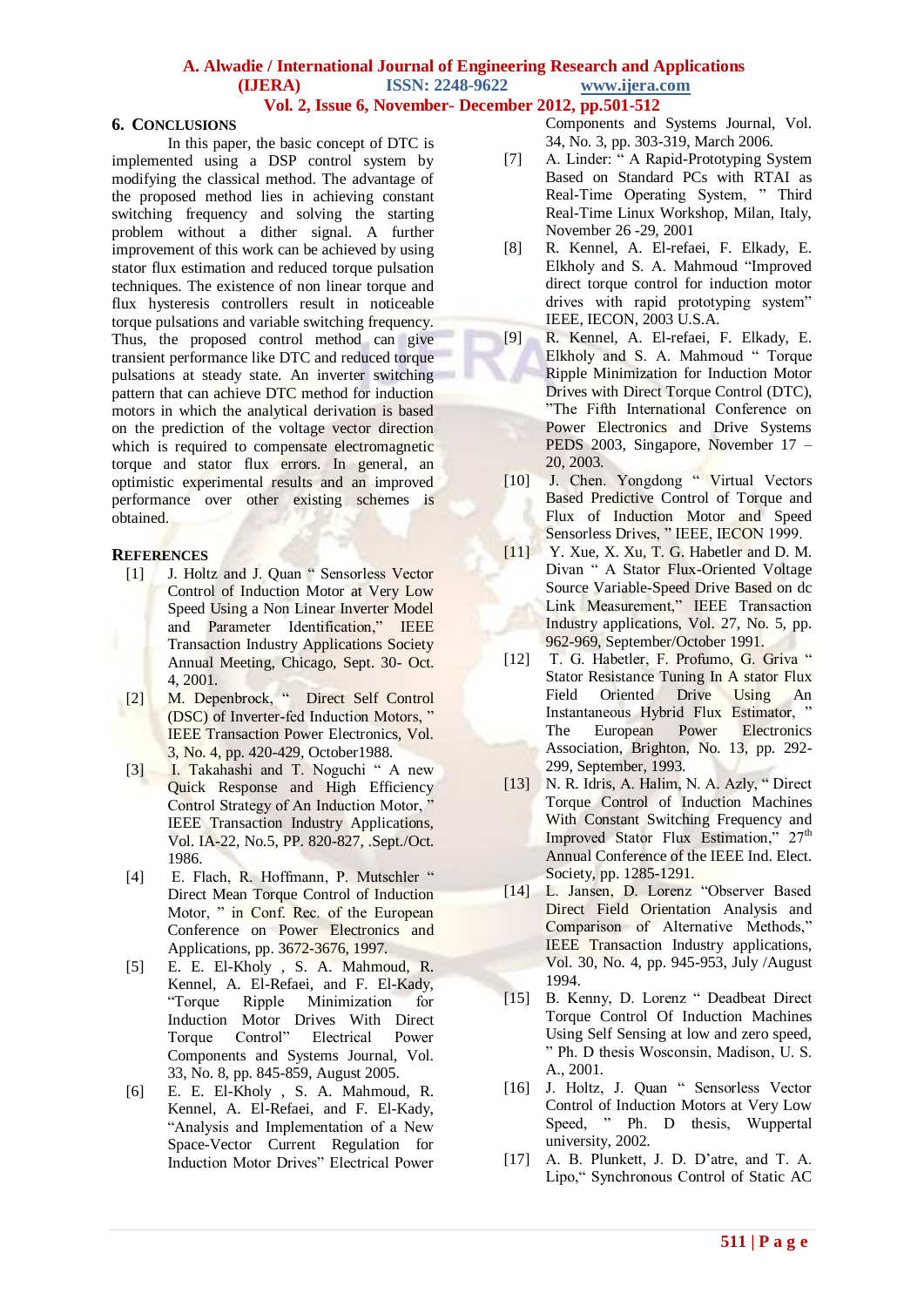#### **6. CONCLUSIONS**

In this paper, the basic concept of DTC is implemented using a DSP control system by modifying the classical method. The advantage of the proposed method lies in achieving constant switching frequency and solving the starting problem without a dither signal. A further improvement of this work can be achieved by using stator flux estimation and reduced torque pulsation techniques. The existence of non linear torque and flux hysteresis controllers result in noticeable torque pulsations and variable switching frequency. Thus, the proposed control method can give transient performance like DTC and reduced torque pulsations at steady state. An inverter switching pattern that can achieve DTC method for induction motors in which the analytical derivation is based on the prediction of the voltage vector direction which is required to compensate electromagnetic torque and stator flux errors. In general, an optimistic experimental results and an improved performance over other existing schemes is obtained.

#### **REFERENCES**

- [1] J. Holtz and J. Quan " Sensorless Vector Control of Induction Motor at Very Low Speed Using a Non Linear Inverter Model and Parameter Identification," IEEE Transaction Industry Applications Society Annual Meeting, Chicago, Sept. 30- Oct. 4, 2001.
- [2] M. Depenbrock, " Direct Self Control (DSC) of Inverter-fed Induction Motors, " IEEE Transaction Power Electronics, Vol. 3, No. 4, pp. 420-429, October1988.
- [3] I. Takahashi and T. Noguchi " A new Quick Response and High Efficiency Control Strategy of An Induction Motor, " IEEE Transaction Industry Applications, Vol. IA-22, No.5, PP. 820-827, .Sept./Oct. 1986.
- [4] E. Flach, R. Hoffmann, P. Mutschler " Direct Mean Torque Control of Induction Motor, " in Conf. Rec. of the European Conference on Power Electronics and Applications, pp. 3672-3676, 1997.
- [5] E. E. El-Kholy , S. A. Mahmoud, R. Kennel, A. El-Refaei, and F. El-Kady,<br>"Torque Ripple Minimization for Ripple Minimization for Induction Motor Drives With Direct Torque Control" Electrical Power Components and Systems Journal, Vol. 33, No. 8, pp. 845-859, August 2005.
- [6] E. E. El-Kholy , S. A. Mahmoud, R. Kennel, A. El-Refaei, and F. El-Kady, "Analysis and Implementation of a New Space-Vector Current Regulation for Induction Motor Drives" Electrical Power

Components and Systems Journal, Vol. 34, No. 3, pp. 303-319, March 2006.

- [7] A. Linder: " A Rapid-Prototyping System Based on Standard PCs with RTAI as Real-Time Operating System, " Third Real-Time Linux Workshop, Milan, Italy, November 26 -29, 2001
- [8] R. Kennel, A. El-refaei, F. Elkady, E. Elkholy and S. A. Mahmoud "Improved direct torque control for induction motor drives with rapid prototyping system" IEEE, IECON, 2003 U.S.A.
- [9] R. Kennel, A. El-refaei, F. Elkady, E. Elkholy and S. A. Mahmoud " Torque Ripple Minimization for Induction Motor Drives with Direct Torque Control (DTC), "The Fifth International Conference on Power Electronics and Drive Systems PEDS 2003, Singapore, November 17 – 20, 2003.
- [10] J. Chen. Yongdong " Virtual Vectors Based Predictive Control of Torque and Flux of Induction Motor and Speed Sensorless Drives," IEEE, IECON 1999.
- [11] Y. Xue, X. Xu, T. G. Habetler and D. M. Divan " A Stator Flux-Oriented Voltage Source Variable-Speed Drive Based on dc Link Measurement," IEEE Transaction Industry applications, Vol. 27, No. 5, pp. 962-969, September/October 1991.
- [12] T. G. Habetler, F. Profumo, G. Griva " Stator Resistance Tuning In A stator Flux Field Oriented Drive Using An Instantaneous Hybrid Flux Estimator, " The European Power Electronics Association, Brighton, No. 13, pp. 292- 299, September, 1993.
- [13] N. R. Idris, A. Halim, N. A. Azly, " Direct Torque Control of Induction Machines With Constant Switching Frequency and Improved Stator Flux Estimation," 27<sup>th</sup> Annual Conference of the IEEE Ind. Elect. Society, pp. 1285-1291.
- [14] L. Jansen, D. Lorenz "Observer Based Direct Field Orientation Analysis and Comparison of Alternative Methods," IEEE Transaction Industry applications, Vol. 30, No. 4, pp. 945-953, July /August 1994.
- [15] B. Kenny, D. Lorenz " Deadbeat Direct Torque Control Of Induction Machines Using Self Sensing at low and zero speed, " Ph. D thesis Wosconsin, Madison, U. S. A., 2001.
- [16] J. Holtz, J. Quan " Sensorless Vector Control of Induction Motors at Very Low Speed, " Ph. D thesis, Wuppertal university, 2002.
- [17] A. B. Plunkett, J. D. D'atre, and T. A. Lipo," Synchronous Control of Static AC